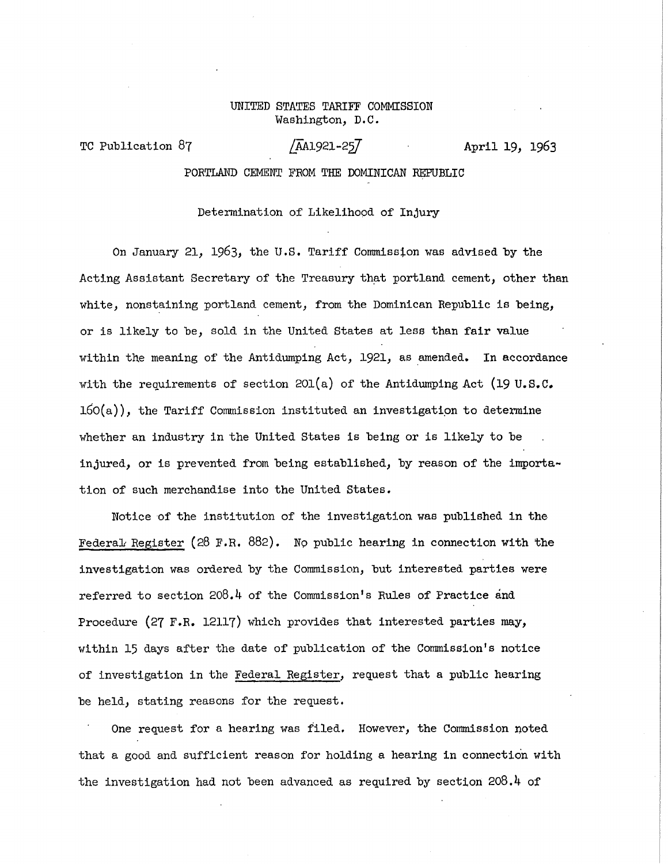# UNITED STATES TARIFF COMMISSION Washington, D.C.

TC Publication **87 /\_AA1921-2**^7 Apri <sup>l</sup> **19, 1963** 

PORTLAND CEMENT FROM THE DOMINICAN REPUBLIC

# Determination of Likelihood of Injury

On January **21, ±963,** the U.S. Tarif f Commission was advised by the Acting Assistant Secretary of the Treasury that portland cement, other than white, nonstaining portland cement, from the Dominican Republic is being, or is likely to be, sold in the United States at less than fair value within the meaning of the Antidumping Act, 1921, as amended. In accordance with the requirements of section  $201(a)$  of the Antidumping Act (19 U.S.C.  $160(a)$ , the Tariff Commission instituted an investigation to determine whether an industry in the United States is being or is likely to be injured, or is prevented from being established, by reason of the importation of such merchandise into the United States.

Notice of the institution of the investigation was published in the Federal Register (28 F.R. 882). No public hearing in connection with the investigation was ordered by the Commission, but interested parties were referred to section 208.4 of the Commission's Rules of Practice and Procedure (27 F.R. 12117) which provides that interested parties may, within 15 days after the date of publication of the Commission's notice of investigation in the Federal Register, request that a public hearing be held, stating reasons for the request.

One request for a hearing was filed. However, the Commission noted that a good and sufficient reason for holding a hearing in connection with the investigation had not been advanced as required by section 208.4 of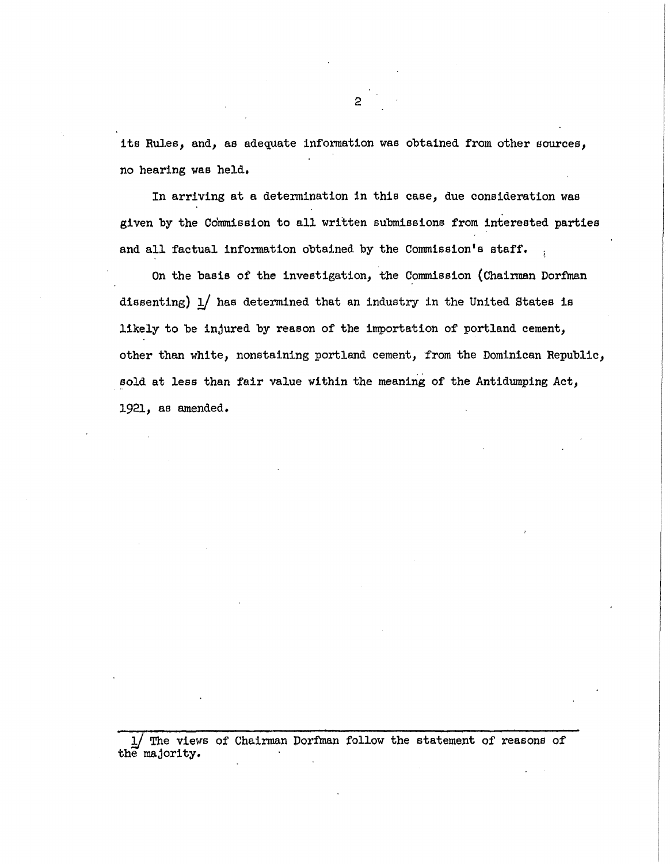its Rules, and, as adequate information was obtained from other sources, no hearing was held.

In arriving at a determination in this case, due consideration was given by the Commission to all written submissions from interested parties and all factual information obtained by the Commission's staff.

On the basis of the investigation, the Commission (Chairman Dorfman dissenting)  $1/$  has determined that an industry in the United States is likely to be injured by reason of the importation of portland cement, other than white, nonstaining portland cement, from the Dominican Republic, sold at less than fair value within the meaning of the Antidumping Act, **1921,** as amended.

The views of Chairman Dorfman follow the statement of reasons of the majority.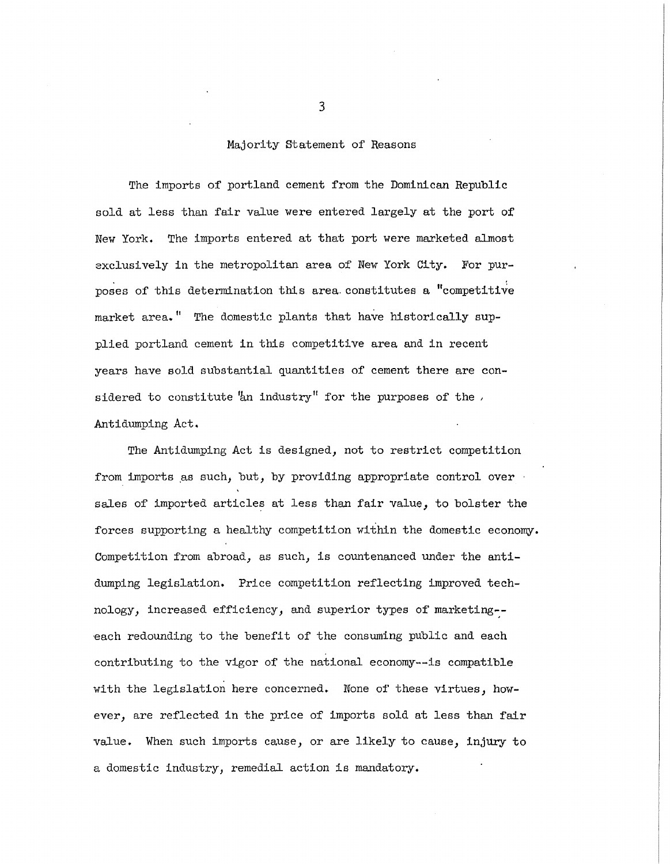### Majority Statement of Reasons

The imports of portland cement from the Dominican Republic sold at less than fair value were entered largely at the port of New York. The imports entered at that port were marketed almost exclusively in the metropolitan area of New York City. For purposes of this determination this area constitutes a "competitive market area." The domestic plants that have historically supplied portland cement in this competitive area and in recent years have sold substantial quantities of cement there are considered to constitute "an industry" for the purposes of the  $\overline{\phantom{a}}$ Antidumping Act.

The Antidumping Act is designed, not to restrict competition from imports as such, but, by providing appropriate control over  $\cdot$ sales of imported articles at less than fair value, to bolster the forces supporting a healthy competition within the domestic economy. Competition from abroad, as such, is countenanced under the antidumping legislation. Price competition reflecting improved technology, increased efficiency, and superior types of marketing-each redounding to the benefit of the consuming public and each contributing to the vigor of the national economy--is compatible with the legislation here concerned. None of these virtues, however, are reflected in the price of imports sold at less than fair value. When such imports cause, or are likely to cause, injury to a domestic industry, remedial action is mandatory.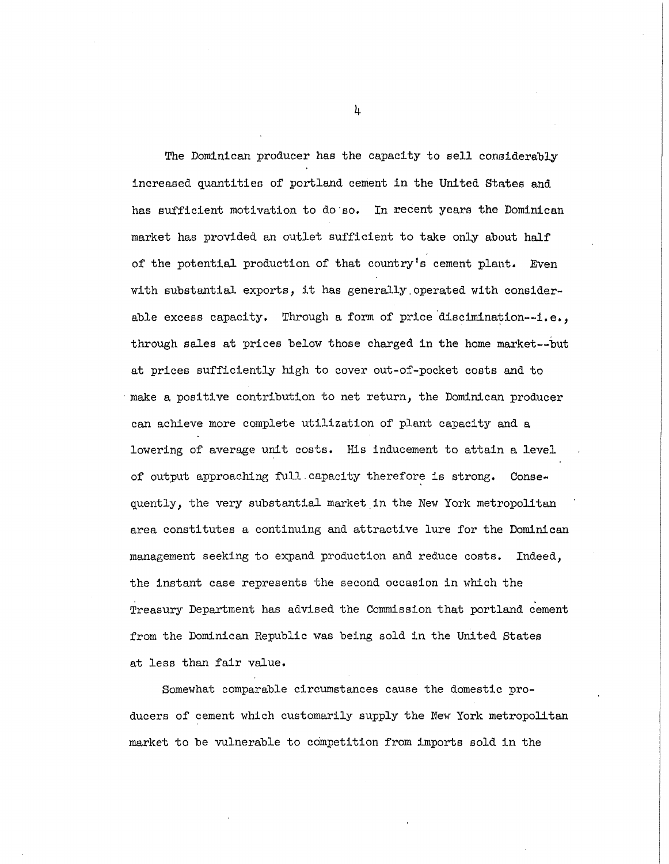The Dominican producer has the capacity to sell considerably increased quantities of portland cement in the United States and has sufficient motivation to do so. In recent years the Dominican market has provided an outlet sufficient to take only about half of the potential production of that country's cement plant. Even with substantial exports, it has generally operated with considerable excess capacity. Through a form of price discimination--i.e., through sales at prices below those charged in the home market--but at prices sufficiently high to cover out-of-pocket costs and to make a positive contribution to net return, the Dominican producer can achieve more complete utilization of plant capacity and a lowering of average unit costs. His inducement to attain a level of output approaching full capacity therefore is strong. Consequently, the very substantial market in the New York metropolitan area constitutes a continuing and attractive lure for the Dominican management seeking to expand production and reduce costs. Indeed, the instant case represents the second occasion in which the Treasury Department has advised the Commission that portland cement from the Dominican Republic was being sold in the United States at less than fair value.

Somewhat comparable circumstances cause the domestic producers of cement which customarily supply the New York metropolitan market to be vulnerable to competition from imports sold in the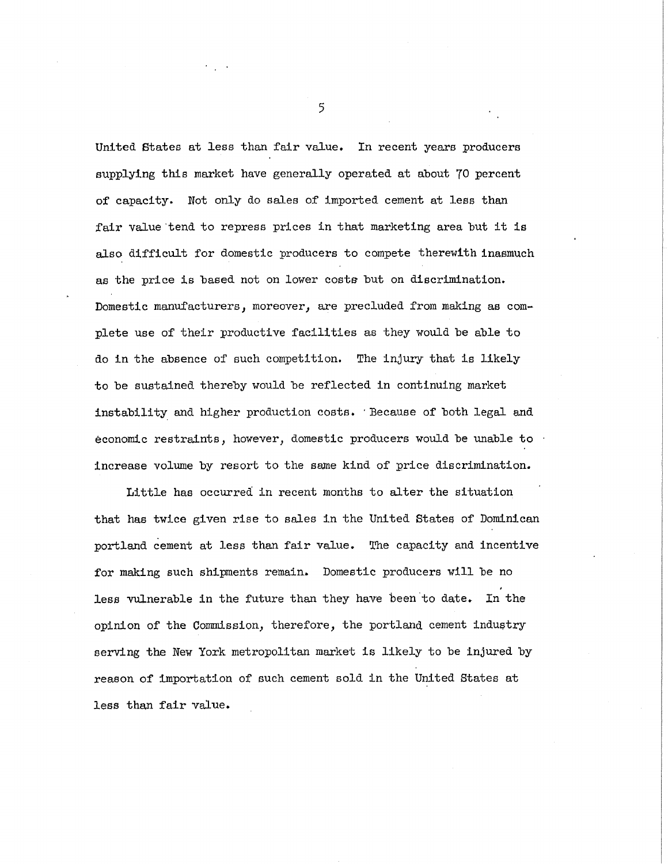United States at less than fair value. In recent years producers supplying this market have generally operated at about 70 percent of capacity. Wot only do sales of imported cement at less than fair value tend to repress prices in that marketing area but it is also difficult for domestic producers to compete therewith inasmuch as the price is based not on lower costs but on discrimination. Domestic manufacturers, moreover, are precluded from making as complete use of their productive facilities as they would be able to do in the absence of such competition. The injury that is likely to be sustained thereby would be reflected in continuing market instability and higher production costs. 'Because of both legal and economic restraints, however, domestic producers would be unable to  $\cdot$ increase volume by resort to the same kind of price discrimination.

Little has occurred in recent months to alter the situation that has twice given rise to sales in the United States of Dominican portland cement at less than fair value. The capacity and incentive for making such shipments remain. Domestic producers will be no less vulnerable in the future than they have been to date. In the opinion of the Commission, therefore, the portland cement industry serving the New York metropolitan market is likely to be injured by reason of importation of such cement sold in the United States at less than fair value.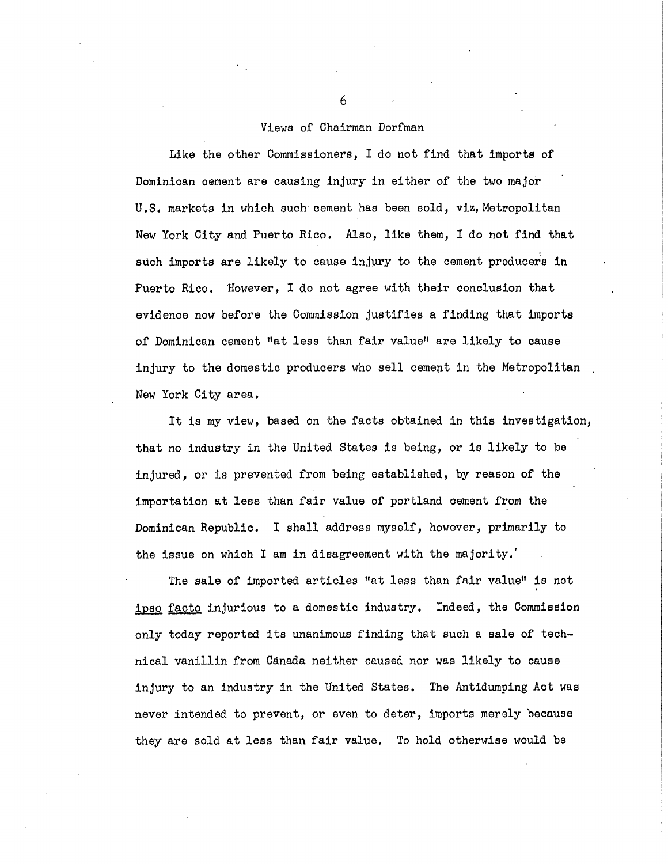## Views of Chairman Dorfman

Like the other Commissioners, I do not find that imports of Dominican cement are causing injury in either of the two major U.S. markets in which such cement has been sold, viz, Metropolitan New York City and Puerto Rico. Also, like them, I do not find that such imports are likely to cause injury to the cement producers in Puerto Rico. However, I do not agree with their conclusion that evidence now before the Commission justifies a finding that imports of Dominican cement "at less than fair value" are likely to cause injury to the domestic producers who sell cement in the Metropolitan New York City area.

It is my view, based on the facts obtained in this investigation, that no industry in the United States is being, or is likely to be injured, or is prevented from being established, by reason of the importation at less than fair value of portland cement from the Dominican Republic. I shall address myself, however, primarily to the issue on which I am in disagreement with the majority.

The sale of imported articles "at less than fair value" is not ipso facto injurious to a domestic industry. Indeed, the Commission only today reported its unanimous finding that such a sale of technical vanillin from Canada neither caused nor was likely to cause injury to an industry in the United States. The Antidumping Act was never intended to prevent, or even to deter, Imports merely because they are sold at less than fair value. To hold otherwise would be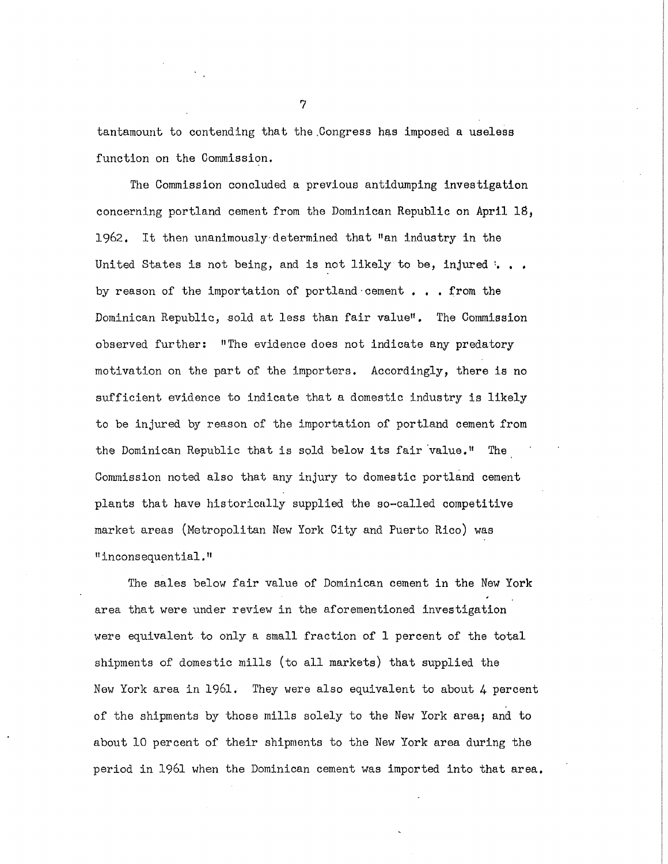tantamount to contending that the Congress has imposed a useless function on the Commission.

The Commission concluded a previous antidumping investigation concerning portland cement from the Dominican Republic on April  $18$ , 1962. It then unanimously determined that "an industry in the United States is not being, and is not likely to be, injured  $\cdot \cdot \cdot$ . by reason of the importation of portland•cement . , . from the Dominican Republic, sold at less than fair value". The Commission observed further: "The evidence does not indicate any predatory motivation on the part of the importers. Accordingly, there is no sufficient evidence to indicate that a domestic industry is likely to be injured by reason of the importation of portland cement from the Dominican Republic that is sold below its fair value." The Commission noted also that any injury to domestic portland cement plants that have historically supplied the so-called competitive market areas (Metropolitan New York City and Puerto Rico) was "inconsequential."

The sales below fair value of Dominican cement in the New York area that were under review in the aforementioned investigation were equivalent to only a small fraction of 1 percent of the total shipments of domestic mills (to all markets) that supplied the New York area in  $1961$ . They were also equivalent to about 4 percent of the shipments by those mills solely to the New York area; and to about 10 percent of their shipments to the New York area during the period in 1961 when the Dominican cement was imported into that area.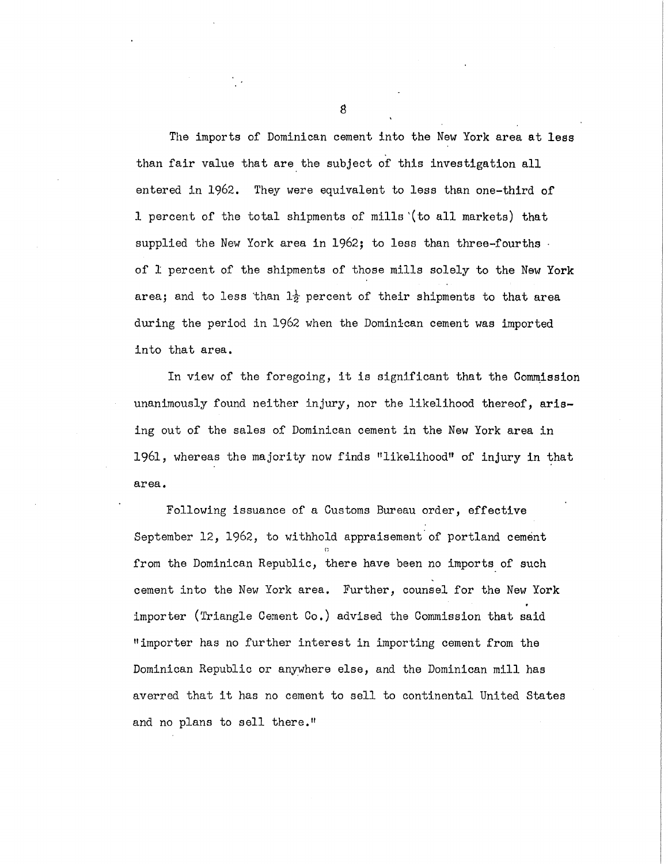The imports of Dominican cement into the New York area at less than fair value that are the subject of this investigation all entered in 1962. They were equivalent to less than one-third of 1 percent of the total shipments of mills (to all markets) that supplied the New York area in  $1962$ ; to less than three-fourths of 1 percent of the shipments of those mills solely to the New York area; and to less than  $1\frac{1}{2}$  percent of their shipments to that area during the period in 1962 when the Dominican cement was imported into that area.

In view of the foregoing, it is significant that the Commission unanimously found neither injury, nor the likelihood thereof, arising out of the sales of Dominican cement in the New York area in 1961, whereas the majority now finds "likelihood" of injury in that area.

Following issuance of a Customs Bureau order, effective September 12, 1962, to withhold appraisement of portland cement from the Dominican Republic, there have been no imports of such cement into the New York area. Further, counsel for the New York importer (Triangle Cement  $Co.$ ) advised the Commission that said "importer has no further interest in importing cement from the Dominican Republic or anywhere else, and the Dominican mill has averred that it has no cement to sell to continental United States and no plans to sell there."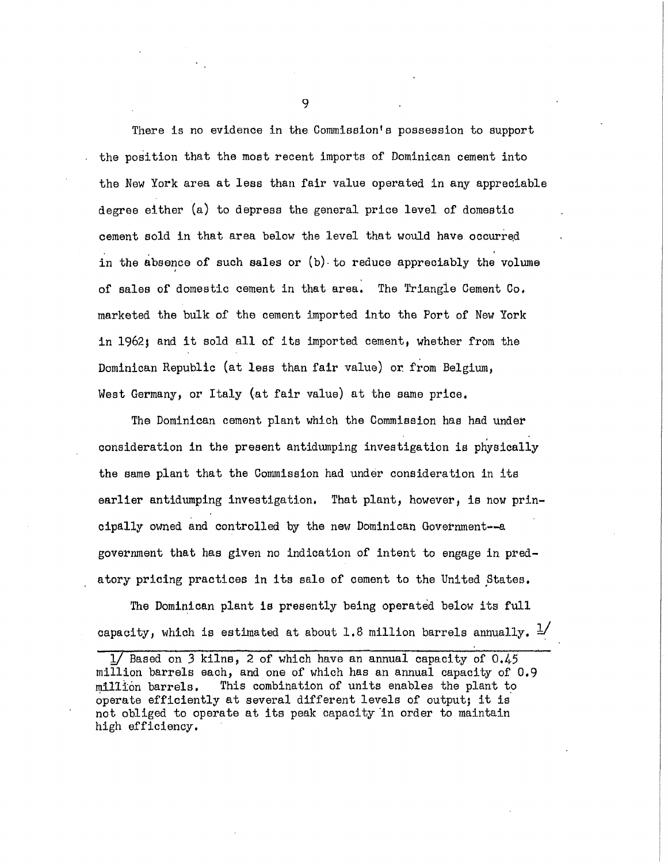There is no evidence in the Commission's possession to support the position that the most recent imports of Dominican cement into the New York area at less than fair value operated in any appreciable degree either (a) to depress the general price level of domestic cement sold in that area below the level that would have occurred in the absence of such sales or  $(b)$  to reduce appreciably the volume of sales of domestic cement in that area. The Triangle Cement  $\mathbb{G}_{o}$ . marketed the bulk of the cement imported into the Port of New York in 1962; and it sold all of its imported cement, whether from the Dominican Republic (at less than fair value) or from Belgium, West Germany, or Italy (at fair value) at the same price.

The Dominican cement plant which the Commission has had under consideration in the present antidumping investigation is physically the same plant that the Commission had under consideration in its earlier antidumping investigation. That plant, however, is now principally owned and controlled by the new Dominican Government--a government that has given no indication of intent to engage in predatory pricing practices in its sale of cement to the United States.

The Dominican plant is presently being operated below its full capacity, which is estimated at about 1.8 million barrels annually.  $\frac{1}{2}$ 

 $1/$  Based on 3 kilns, 2 of which have an annual capacity of  $0.45$ million barrels each, and one of which has an annual capacity of  $0.9$  $m11$ ion barrels. This combination of units enables the plant to operate efficiently at several different levels of output; it is not obliged to operate at its peak capacity in order to maintain high efficiency .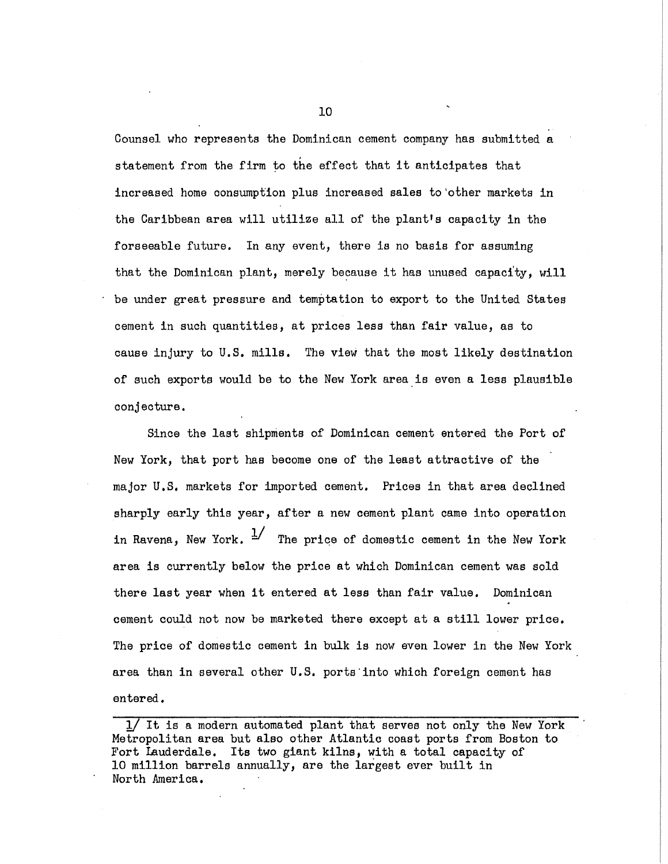Counsel who represents the Dominican cement company has submitted a statement from the firm to the effect that it anticipates that increased home consumption plus increased sales to other markets in the Caribbean area will utilize all of the plant's capacity in the forseeable future. In any event, there is no basis for assuming that the Dominican plant, merely because it has unused capacity, will be under great pressure and temptation to export to the United States cement in such quantities, at prices less than fair value, as to cause injury to U.S. mills. The view that the most likely destination of such exports would be to the New York area is even a less plausible conjecture.

Since the last shipments of Dominican cement entered the Port of New York, that port has become one of the least attractive of the major U.S. markets for imported cement. Prices in that area declined sharply early this year, after a new cement plant came into operation in Ravena. New York.  $\frac{1}{2}$  The price of domestic cement in the New York area is currently below the price at which Dominican cement was sold there last year when it entered at less than fair value. Dominican cement could not now be marketed there except at a still lower price. The price of domestic cement in bulk is now even lower in the New York area than in several other U.S. ports into which foreign cement has entered.

 $1/$  It is a modern automated plant that serves not only the New York Metropolitan area but also other Atlantic coast ports from Boston to Fort Lauderdale. Its two giant kilns, with a total capacity of 10 million barrels annually, are the largest ever built in North America.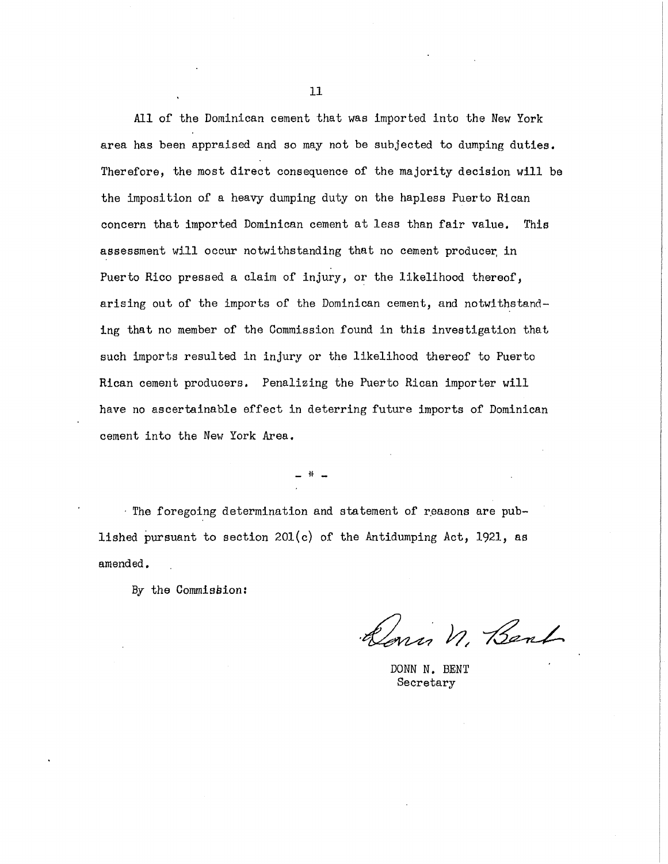All of the Dominican cement that was imported into the New York area has been appraised and so may not be subjected to dumping duties. Therefore, the most direct consequence of the majority decision will be the imposition of a heavy dumping duty on the hapless Puerto Rican concern that imported Dominican cement at less than fair value. This assessment will occur notwithstanding that no cement producer in Puerto Rico pressed a claim of injury, or the likelihood thereof, arising out of the imports of the Dominican cement, and notwithstanding that no member of the Commission found in this investigation that such imports resulted in injury or the likelihood thereof to Puerto Rican cement producers. Penalizing the Puerto Rican importer will have no ascertainable effect in deterring future imports of Dominican cement into the New York Area.

 $-$  H

• The foregoing determination and statement of reasons are published pursuant to section 201(c) of the Antidumping Act, 1921, as amended.

By the Commission:

Konin n. Bank

DONN N. BENT Secretary